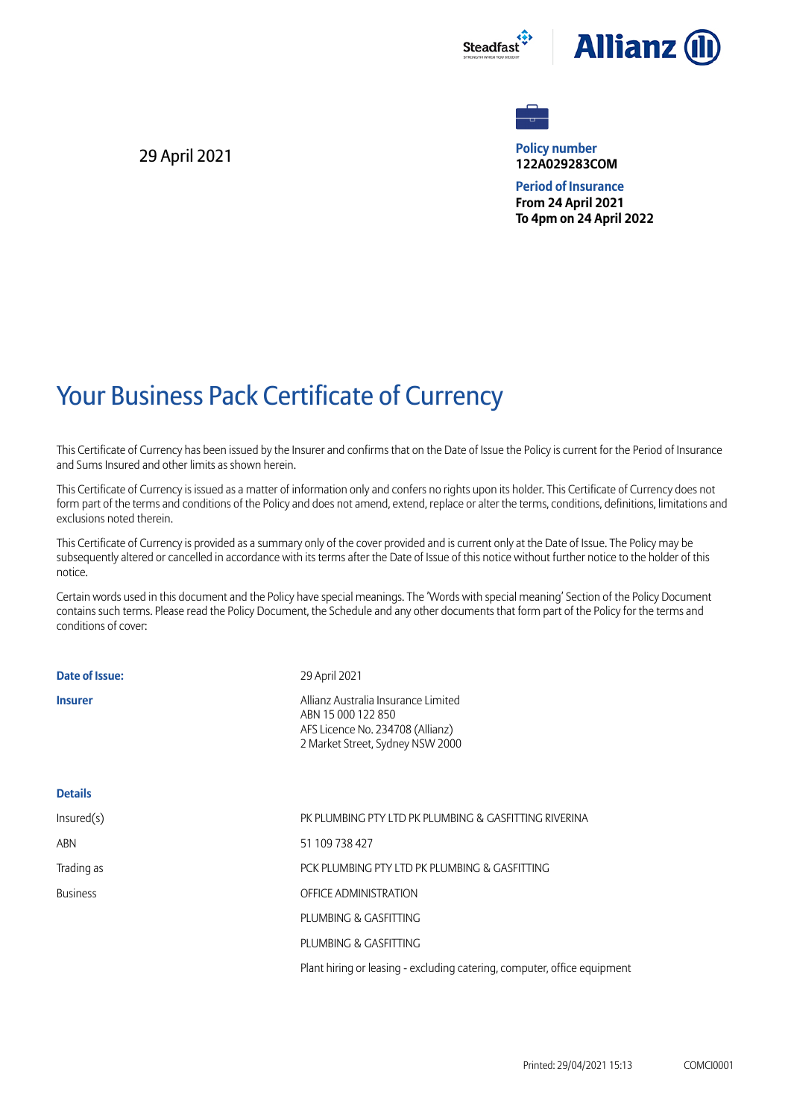



**Policy number 122A029283COM**

**Period of Insurance From 24 April 2021 To 4pm on 24 April 2022**

## Your Business Pack Certificate of Currency

This Certificate of Currency has been issued by the Insurer and confirms that on the Date of Issue the Policy is current for the Period of Insurance and Sums Insured and other limits as shown herein.

This Certificate of Currency is issued as a matter of information only and confers no rights upon its holder. This Certificate of Currency does not form part of the terms and conditions of the Policy and does not amend, extend, replace or alter the terms, conditions, definitions, limitations and exclusions noted therein.

This Certificate of Currency is provided as a summary only of the cover provided and is current only at the Date of Issue. The Policy may be subsequently altered or cancelled in accordance with its terms after the Date of Issue of this notice without further notice to the holder of this notice.

Certain words used in this document and the Policy have special meanings. The 'Words with special meaning' Section of the Policy Document contains such terms. Please read the Policy Document, the Schedule and any other documents that form part of the Policy for the terms and conditions of cover:

| Date of Issue:  | 29 April 2021                                                                                                                     |
|-----------------|-----------------------------------------------------------------------------------------------------------------------------------|
| <b>Insurer</b>  | Allianz Australia Insurance Limited<br>ABN 15 000 122 850<br>AFS Licence No. 234708 (Allianz)<br>2 Market Street, Sydney NSW 2000 |
| <b>Details</b>  |                                                                                                                                   |
| Insured(s)      | PK PLUMBING PTY LTD PK PLUMBING & GASFITTING RIVERINA                                                                             |
| ABN             | 51 109 738 427                                                                                                                    |
| Trading as      | PCK PLUMBING PTY LTD PK PLUMBING & GASFITTING                                                                                     |
| <b>Business</b> | OFFICE ADMINISTRATION                                                                                                             |
|                 | PLUMBING & GASFITTING                                                                                                             |
|                 | PLUMBING & GASFITTING                                                                                                             |
|                 | Plant hiring or leasing - excluding catering, computer, office equipment                                                          |
|                 |                                                                                                                                   |

29 April 2021